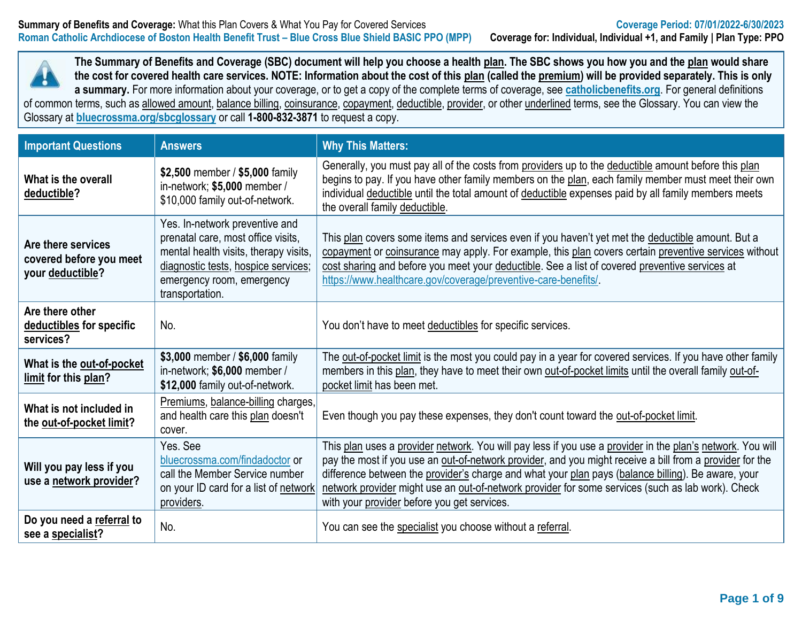

**The Summary of Benefits and Coverage (SBC) document will help you choose a health plan. The SBC shows you how you and the plan would share the cost for covered health care services. NOTE: Information about the cost of this plan (called the premium) will be provided separately. This is only a summary.** For more information about your coverage, or to get a copy of the complete terms of coverage, see **[catholicbenefits.org](http://catholicbenefits.org/)**. For general definitions of common terms, such as allowed amount, balance billing, coinsurance, copayment, deductible, provider, or other underlined terms, see the Glossary. You can view the

Glossary at **[bluecrossma.org/sbcglossary](https://home.bluecrossma.com/collateral/sites/g/files/csphws1571/files/acquiadam-assets/55-0382_SBC_Glossary_Medical_Terms.pdf)** or call **1-800-832-3871** to request a copy.

| <b>Important Questions</b>                                        | <b>Answers</b>                                                                                                                                                                                       | <b>Why This Matters:</b>                                                                                                                                                                                                                                                                                                                                                                                                                                                         |
|-------------------------------------------------------------------|------------------------------------------------------------------------------------------------------------------------------------------------------------------------------------------------------|----------------------------------------------------------------------------------------------------------------------------------------------------------------------------------------------------------------------------------------------------------------------------------------------------------------------------------------------------------------------------------------------------------------------------------------------------------------------------------|
| What is the overall<br>deductible?                                | \$2,500 member / \$5,000 family<br>in-network; \$5,000 member /<br>\$10,000 family out-of-network.                                                                                                   | Generally, you must pay all of the costs from providers up to the deductible amount before this plan<br>begins to pay. If you have other family members on the plan, each family member must meet their own<br>individual deductible until the total amount of deductible expenses paid by all family members meets<br>the overall family deductible.                                                                                                                            |
| Are there services<br>covered before you meet<br>your deductible? | Yes. In-network preventive and<br>prenatal care, most office visits,<br>mental health visits, therapy visits,<br>diagnostic tests, hospice services;<br>emergency room, emergency<br>transportation. | This plan covers some items and services even if you haven't yet met the deductible amount. But a<br>copayment or coinsurance may apply. For example, this plan covers certain preventive services without<br>cost sharing and before you meet your deductible. See a list of covered preventive services at<br>https://www.healthcare.gov/coverage/preventive-care-benefits/                                                                                                    |
| Are there other<br>deductibles for specific<br>services?          | No.                                                                                                                                                                                                  | You don't have to meet deductibles for specific services.                                                                                                                                                                                                                                                                                                                                                                                                                        |
| What is the out-of-pocket<br>limit for this plan?                 | \$3,000 member / \$6,000 family<br>in-network; \$6,000 member /<br>\$12,000 family out-of-network.                                                                                                   | The out-of-pocket limit is the most you could pay in a year for covered services. If you have other family<br>members in this plan, they have to meet their own out-of-pocket limits until the overall family out-of-<br>pocket limit has been met.                                                                                                                                                                                                                              |
| What is not included in<br>the out-of-pocket limit?               | Premiums, balance-billing charges,<br>and health care this plan doesn't<br>cover.                                                                                                                    | Even though you pay these expenses, they don't count toward the out-of-pocket limit.                                                                                                                                                                                                                                                                                                                                                                                             |
| Will you pay less if you<br>use a network provider?               | Yes. See<br>bluecrossma.com/findadoctor or<br>call the Member Service number<br>on your ID card for a list of network<br>providers.                                                                  | This plan uses a provider network. You will pay less if you use a provider in the plan's network. You will<br>pay the most if you use an out-of-network provider, and you might receive a bill from a provider for the<br>difference between the provider's charge and what your plan pays (balance billing). Be aware, your<br>network provider might use an out-of-network provider for some services (such as lab work). Check<br>with your provider before you get services. |
| Do you need a referral to<br>see a specialist?                    | No.                                                                                                                                                                                                  | You can see the specialist you choose without a referral.                                                                                                                                                                                                                                                                                                                                                                                                                        |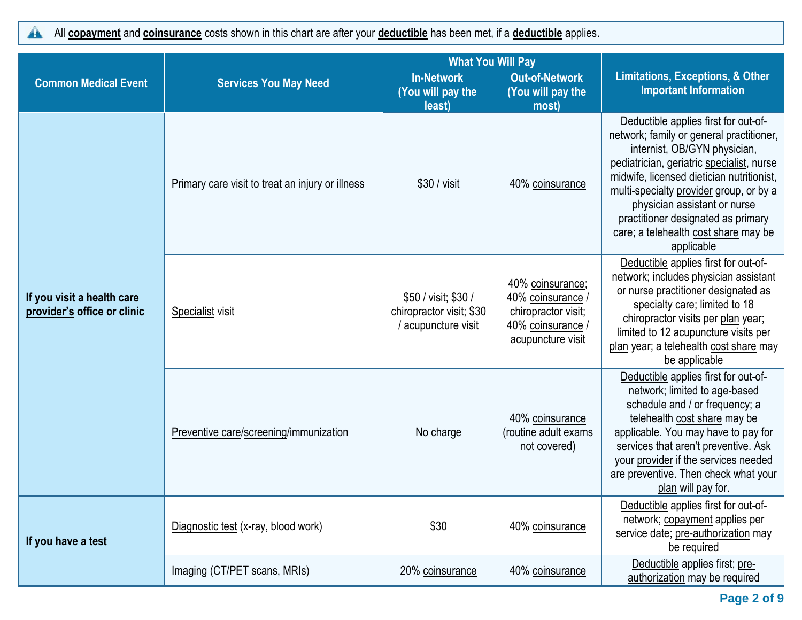All **copayment** and **coinsurance** costs shown in this chart are after your **deductible** has been met, if a **deductible** applies.  $\blacktriangle$ 

| <b>Common Medical Event</b>                               | <b>Services You May Need</b>                     | <b>In-Network</b><br>(You will pay the<br>least)                        | <b>What You Will Pay</b><br><b>Out-of-Network</b><br><b>Important Information</b><br>(You will pay the<br>most)<br>40% coinsurance<br>applicable<br>40% coinsurance;<br>40% coinsurance<br>chiropractor visit;<br>40% coinsurance<br>acupuncture visit<br>be applicable<br>40% coinsurance<br>(routine adult exams<br>not covered)<br>plan will pay for.<br>40% coinsurance<br>be required<br>Deductible applies first; pre-<br>40% coinsurance<br>authorization may be required | <b>Limitations, Exceptions, &amp; Other</b>                                                                                                                                                                                                                                                                                                                         |  |
|-----------------------------------------------------------|--------------------------------------------------|-------------------------------------------------------------------------|----------------------------------------------------------------------------------------------------------------------------------------------------------------------------------------------------------------------------------------------------------------------------------------------------------------------------------------------------------------------------------------------------------------------------------------------------------------------------------|---------------------------------------------------------------------------------------------------------------------------------------------------------------------------------------------------------------------------------------------------------------------------------------------------------------------------------------------------------------------|--|
|                                                           | Primary care visit to treat an injury or illness | $$30 / v$ isit                                                          |                                                                                                                                                                                                                                                                                                                                                                                                                                                                                  | Deductible applies first for out-of-<br>network; family or general practitioner,<br>internist, OB/GYN physician,<br>pediatrician, geriatric specialist, nurse<br>midwife, licensed dietician nutritionist,<br>multi-specialty provider group, or by a<br>physician assistant or nurse<br>practitioner designated as primary<br>care; a telehealth cost share may be |  |
| If you visit a health care<br>provider's office or clinic | Specialist visit                                 | \$50 / visit; \$30 /<br>chiropractor visit; \$30<br>/ acupuncture visit |                                                                                                                                                                                                                                                                                                                                                                                                                                                                                  | Deductible applies first for out-of-<br>network; includes physician assistant<br>or nurse practitioner designated as<br>specialty care; limited to 18<br>chiropractor visits per plan year;<br>limited to 12 acupuncture visits per<br>plan year; a telehealth cost share may                                                                                       |  |
|                                                           | Preventive care/screening/immunization           | No charge                                                               |                                                                                                                                                                                                                                                                                                                                                                                                                                                                                  | Deductible applies first for out-of-<br>network; limited to age-based<br>schedule and / or frequency; a<br>telehealth cost share may be<br>applicable. You may have to pay for<br>services that aren't preventive. Ask<br>your provider if the services needed<br>are preventive. Then check what your                                                              |  |
| If you have a test                                        | Diagnostic test (x-ray, blood work)              | \$30                                                                    |                                                                                                                                                                                                                                                                                                                                                                                                                                                                                  | Deductible applies first for out-of-<br>network; copayment applies per<br>service date; pre-authorization may                                                                                                                                                                                                                                                       |  |
|                                                           | Imaging (CT/PET scans, MRIs)                     | 20% coinsurance                                                         |                                                                                                                                                                                                                                                                                                                                                                                                                                                                                  |                                                                                                                                                                                                                                                                                                                                                                     |  |

**Page 2 of 9**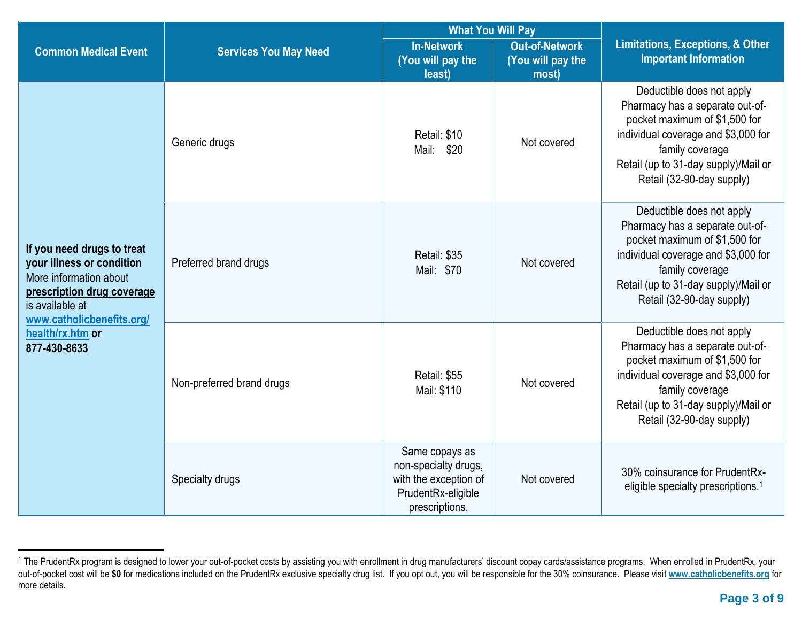|                                                                                                                                                                 |                                                     | <b>What You Will Pay</b>                                                                                |                                                     | <b>Limitations, Exceptions, &amp; Other</b><br><b>Important Information</b>                                                                                                                                                  |  |
|-----------------------------------------------------------------------------------------------------------------------------------------------------------------|-----------------------------------------------------|---------------------------------------------------------------------------------------------------------|-----------------------------------------------------|------------------------------------------------------------------------------------------------------------------------------------------------------------------------------------------------------------------------------|--|
| <b>Common Medical Event</b>                                                                                                                                     | <b>Services You May Need</b>                        | <b>In-Network</b><br>(You will pay the<br>least)                                                        | <b>Out-of-Network</b><br>(You will pay the<br>most) |                                                                                                                                                                                                                              |  |
|                                                                                                                                                                 | Generic drugs                                       | Retail: \$10<br>Mail: \$20                                                                              | Not covered                                         | Deductible does not apply<br>Pharmacy has a separate out-of-<br>pocket maximum of \$1,500 for<br>individual coverage and \$3,000 for<br>family coverage<br>Retail (up to 31-day supply)/Mail or<br>Retail (32-90-day supply) |  |
| If you need drugs to treat<br>your illness or condition<br>More information about<br>prescription drug coverage<br>is available at<br>www.catholicbenefits.org/ | Retail: \$35<br>Preferred brand drugs<br>Mail: \$70 |                                                                                                         | Not covered                                         | Deductible does not apply<br>Pharmacy has a separate out-of-<br>pocket maximum of \$1,500 for<br>individual coverage and \$3,000 for<br>family coverage<br>Retail (up to 31-day supply)/Mail or<br>Retail (32-90-day supply) |  |
| health/rx.htm or<br>877-430-8633                                                                                                                                | Non-preferred brand drugs                           | Retail: \$55<br>Mail: \$110                                                                             | Not covered                                         | Deductible does not apply<br>Pharmacy has a separate out-of-<br>pocket maximum of \$1,500 for<br>individual coverage and \$3,000 for<br>family coverage<br>Retail (up to 31-day supply)/Mail or<br>Retail (32-90-day supply) |  |
|                                                                                                                                                                 | <b>Specialty drugs</b>                              | Same copays as<br>non-specialty drugs,<br>with the exception of<br>PrudentRx-eligible<br>prescriptions. | Not covered                                         | 30% coinsurance for PrudentRx-<br>eligible specialty prescriptions. <sup>1</sup>                                                                                                                                             |  |

<sup>&</sup>lt;sup>1</sup> The PrudentRx program is designed to lower your out-of-pocket costs by assisting you with enrollment in drug manufacturers' discount copay cards/assistance programs. When enrolled in PrudentRx, your out-of-pocket cost will be **\$0** for medications included on the PrudentRx exclusive specialty drug list. If you opt out, you will be responsible for the 30% coinsurance. Please visit **[www.catholicbenefits.org](http://www.catholicbenefits.org/)** for more details.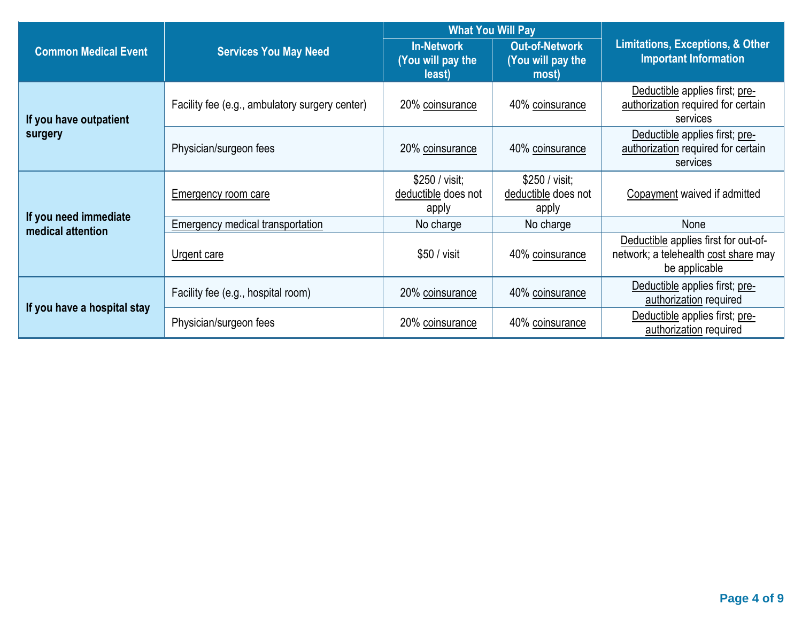|                                            |                                                | <b>What You Will Pay</b>                         |                                                                                                     |                                                                                               |
|--------------------------------------------|------------------------------------------------|--------------------------------------------------|-----------------------------------------------------------------------------------------------------|-----------------------------------------------------------------------------------------------|
| <b>Common Medical Event</b>                | <b>Services You May Need</b>                   | <b>In-Network</b><br>(You will pay the<br>least) | <b>Out-of-Network</b><br>You will pay the<br>most)                                                  | <b>Limitations, Exceptions, &amp; Other</b><br><b>Important Information</b>                   |
| If you have outpatient                     | Facility fee (e.g., ambulatory surgery center) | 20% coinsurance                                  | 40% coinsurance                                                                                     | Deductible applies first; pre-<br>authorization required for certain<br>services              |
| surgery                                    | Physician/surgeon fees                         | 20% coinsurance                                  | Deductible applies first; pre-<br>authorization required for certain<br>40% coinsurance<br>services |                                                                                               |
|                                            | Emergency room care                            | \$250 / visit;<br>deductible does not<br>apply   | \$250 / visit;<br>deductible does not<br>apply                                                      | Copayment waived if admitted                                                                  |
| If you need immediate<br>medical attention | Emergency medical transportation               | No charge                                        | No charge                                                                                           | None                                                                                          |
|                                            | Urgent care                                    | \$50 / visit                                     | 40% coinsurance                                                                                     | Deductible applies first for out-of-<br>network; a telehealth cost share may<br>be applicable |
| If you have a hospital stay                | Facility fee (e.g., hospital room)             | 20% coinsurance                                  | 40% coinsurance                                                                                     | Deductible applies first; pre-<br>authorization required                                      |
|                                            | Physician/surgeon fees                         | 20% coinsurance                                  | 40% coinsurance                                                                                     | Deductible applies first; pre-<br>authorization required                                      |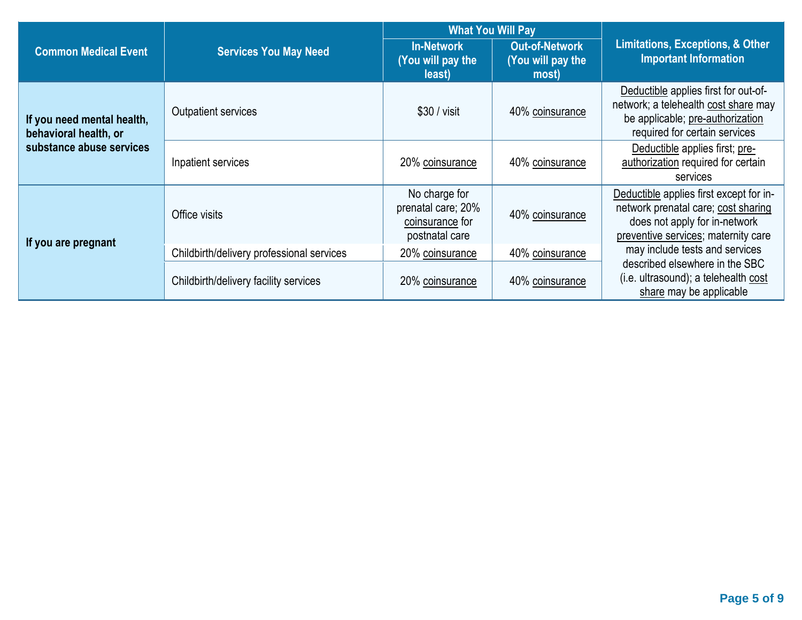|                                                     |                                           | <b>What You Will Pay</b>                                                 |                                                     |                                                                                                                                                                                                                                             |  |
|-----------------------------------------------------|-------------------------------------------|--------------------------------------------------------------------------|-----------------------------------------------------|---------------------------------------------------------------------------------------------------------------------------------------------------------------------------------------------------------------------------------------------|--|
| <b>Common Medical Event</b>                         | <b>Services You May Need</b>              | <b>In-Network</b><br>(You will pay the<br>least)                         | <b>Out-of-Network</b><br>(You will pay the<br>most) | <b>Limitations, Exceptions, &amp; Other</b><br><b>Important Information</b><br>be applicable; pre-authorization<br>required for certain services<br>Deductible applies first; pre-<br>authorization required for certain<br><b>Services</b> |  |
| If you need mental health,<br>behavioral health, or | <b>Outpatient services</b>                | $$30 / v$ isit                                                           | 40% coinsurance                                     | Deductible applies first for out-of-<br>network; a telehealth cost share may                                                                                                                                                                |  |
| substance abuse services                            | Inpatient services                        | 20% coinsurance                                                          | 40% coinsurance                                     |                                                                                                                                                                                                                                             |  |
| If you are pregnant                                 | Office visits                             | No charge for<br>prenatal care; 20%<br>coinsurance for<br>postnatal care | 40% coinsurance                                     | Deductible applies first except for in-<br>network prenatal care; cost sharing<br>does not apply for in-network<br>preventive services; maternity care                                                                                      |  |
|                                                     | Childbirth/delivery professional services | 20% coinsurance                                                          | 40% coinsurance                                     | may include tests and services                                                                                                                                                                                                              |  |
|                                                     | Childbirth/delivery facility services     | 20% coinsurance                                                          | 40% coinsurance                                     | described elsewhere in the SBC<br>(i.e. ultrasound); a telehealth cost<br>share may be applicable                                                                                                                                           |  |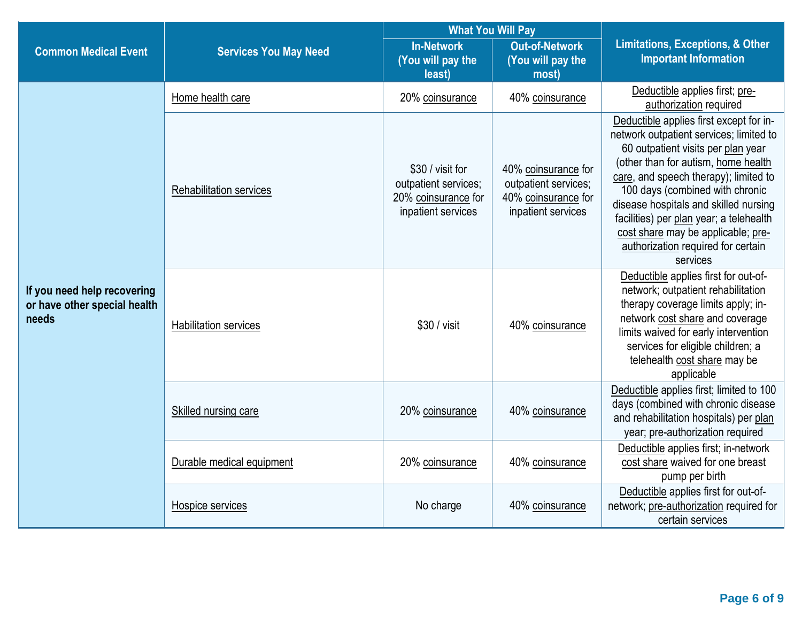|                                                                      |                                | <b>What You Will Pay</b>                                                              |                                                                                          |                                                                                                                                                                                                                                                                                                                                                                                                                         |  |
|----------------------------------------------------------------------|--------------------------------|---------------------------------------------------------------------------------------|------------------------------------------------------------------------------------------|-------------------------------------------------------------------------------------------------------------------------------------------------------------------------------------------------------------------------------------------------------------------------------------------------------------------------------------------------------------------------------------------------------------------------|--|
| <b>Common Medical Event</b>                                          | <b>Services You May Need</b>   | <b>In-Network</b><br>(You will pay the<br>least)                                      | <b>Out-of-Network</b><br>(You will pay the<br>most)                                      | <b>Limitations, Exceptions, &amp; Other</b><br><b>Important Information</b>                                                                                                                                                                                                                                                                                                                                             |  |
|                                                                      | Home health care               | 20% coinsurance                                                                       | 40% coinsurance                                                                          | Deductible applies first; pre-<br>authorization required                                                                                                                                                                                                                                                                                                                                                                |  |
|                                                                      | <b>Rehabilitation services</b> | \$30 / visit for<br>outpatient services;<br>20% coinsurance for<br>inpatient services | 40% coinsurance for<br>outpatient services;<br>40% coinsurance for<br>inpatient services | Deductible applies first except for in-<br>network outpatient services; limited to<br>60 outpatient visits per plan year<br>(other than for autism, home health<br>care, and speech therapy); limited to<br>100 days (combined with chronic<br>disease hospitals and skilled nursing<br>facilities) per plan year; a telehealth<br>cost share may be applicable; pre-<br>authorization required for certain<br>services |  |
| If you need help recovering<br>or have other special health<br>needs | <b>Habilitation services</b>   | \$30 / visit                                                                          | 40% coinsurance                                                                          | Deductible applies first for out-of-<br>network; outpatient rehabilitation<br>therapy coverage limits apply; in-<br>network cost share and coverage<br>limits waived for early intervention<br>services for eligible children; a<br>telehealth cost share may be<br>applicable                                                                                                                                          |  |
|                                                                      | Skilled nursing care           | 20% coinsurance                                                                       | 40% coinsurance                                                                          | Deductible applies first; limited to 100<br>days (combined with chronic disease<br>and rehabilitation hospitals) per plan<br>year; pre-authorization required                                                                                                                                                                                                                                                           |  |
|                                                                      | Durable medical equipment      | 20% coinsurance                                                                       | 40% coinsurance                                                                          | Deductible applies first; in-network<br>cost share waived for one breast<br>pump per birth                                                                                                                                                                                                                                                                                                                              |  |
|                                                                      | Hospice services               | No charge                                                                             | 40% coinsurance                                                                          | Deductible applies first for out-of-<br>network; pre-authorization required for<br>certain services                                                                                                                                                                                                                                                                                                                     |  |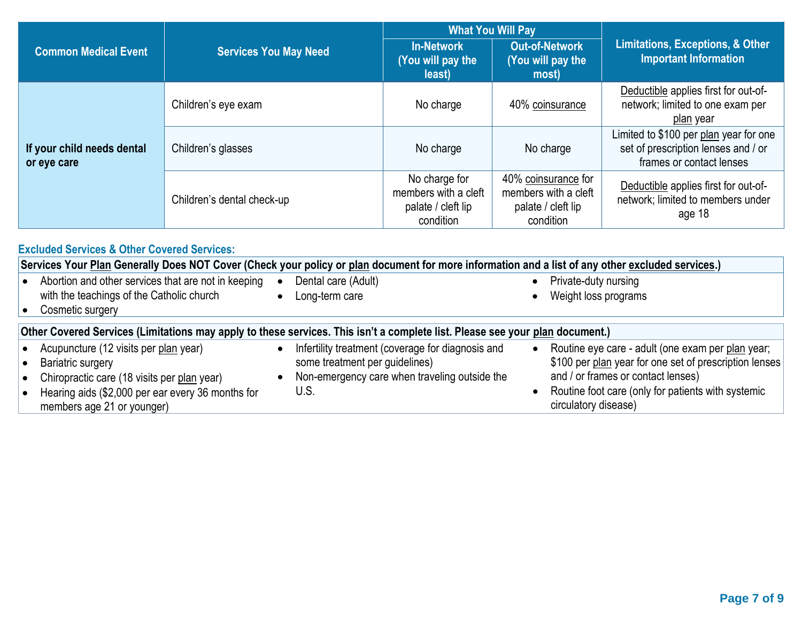|                                           |                              | <b>What You Will Pay</b>                                                 |                                                                                |                                                                                                           |  |
|-------------------------------------------|------------------------------|--------------------------------------------------------------------------|--------------------------------------------------------------------------------|-----------------------------------------------------------------------------------------------------------|--|
| <b>Common Medical Event</b>               | <b>Services You May Need</b> | <b>In-Network</b><br>(You will pay the<br>least)                         | <b>Out-of-Network</b><br>(You will pay the<br>most)                            | <b>Limitations, Exceptions, &amp; Other</b><br><b>Important Information</b>                               |  |
|                                           | Children's eye exam          | No charge                                                                | 40% coinsurance                                                                | Deductible applies first for out-of-<br>network; limited to one exam per<br>plan year                     |  |
| If your child needs dental<br>or eye care | Children's glasses           | No charge                                                                | No charge                                                                      | Limited to \$100 per plan year for one<br>set of prescription lenses and / or<br>frames or contact lenses |  |
|                                           | Children's dental check-up   | No charge for<br>members with a cleft<br>palate / cleft lip<br>condition | 40% coinsurance for<br>members with a cleft<br>palate / cleft lip<br>condition | Deductible applies first for out-of-<br>network; limited to members under<br>age 18                       |  |

| <b>Excluded Services &amp; Other Covered Services:</b>                                                                                                                                              |  |                                                                                                                                              |           |                                                                                                                                                                                                                                 |  |  |  |
|-----------------------------------------------------------------------------------------------------------------------------------------------------------------------------------------------------|--|----------------------------------------------------------------------------------------------------------------------------------------------|-----------|---------------------------------------------------------------------------------------------------------------------------------------------------------------------------------------------------------------------------------|--|--|--|
| Services Your Plan Generally Does NOT Cover (Check your policy or plan document for more information and a list of any other excluded services.)                                                    |  |                                                                                                                                              |           |                                                                                                                                                                                                                                 |  |  |  |
| Abortion and other services that are not in keeping<br>with the teachings of the Catholic church<br>Cosmetic surgery                                                                                |  | Dental care (Adult)<br>Long-term care                                                                                                        |           | Private-duty nursing<br>Weight loss programs                                                                                                                                                                                    |  |  |  |
| Other Covered Services (Limitations may apply to these services. This isn't a complete list. Please see your plan document.)                                                                        |  |                                                                                                                                              |           |                                                                                                                                                                                                                                 |  |  |  |
| Acupuncture (12 visits per plan year)<br><b>Bariatric surgery</b><br>Chiropractic care (18 visits per plan year)<br>Hearing aids (\$2,000 per ear every 36 months for<br>members age 21 or younger) |  | Infertility treatment (coverage for diagnosis and<br>some treatment per guidelines)<br>Non-emergency care when traveling outside the<br>U.S. | $\bullet$ | Routine eye care - adult (one exam per plan year;<br>\$100 per plan year for one set of prescription lenses<br>and / or frames or contact lenses)<br>Routine foot care (only for patients with systemic<br>circulatory disease) |  |  |  |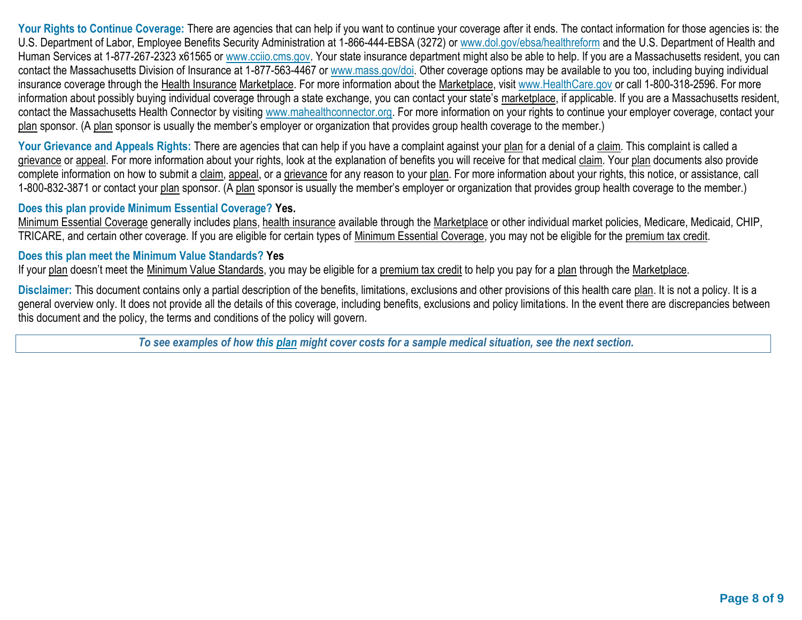Your Rights to Continue Coverage: There are agencies that can help if you want to continue your coverage after it ends. The contact information for those agencies is: the U.S. Department of Labor, Employee Benefits Security Administration at 1-866-444-EBSA (3272) or [www.dol.gov/ebsa/healthreform](http://www.dol.gov/ebsa/healthreform) and the U.S. Department of Health and Human Services at 1-877-267-2323 x61565 or [www.cciio.cms.gov.](http://www.cciio.cms.gov/) Your state insurance department might also be able to help. If you are a Massachusetts resident, you can contact the Massachusetts Division of Insurance at 1-877-563-4467 or [www.mass.gov/doi.](http://www.mass.gov/doi) Other coverage options may be available to you too, including buying individual insurance coverage through the Health Insurance Marketplace. For more information about the Marketplace, visit [www.HealthCare.gov](http://www.healthcare.gov/) or call 1-800-318-2596. For more information about possibly buying individual coverage through a state exchange, you can contact your state's marketplace, if applicable. If you are a Massachusetts resident, contact the Massachusetts Health Connector by visiting [www.mahealthconnector.org.](http://www.mahealthconnector.org/) For more information on your rights to continue your employer coverage, contact your plan sponsor. (A plan sponsor is usually the member's employer or organization that provides group health coverage to the member.)

Your Grievance and Appeals Rights: There are agencies that can help if you have a complaint against your plan for a denial of a claim. This complaint is called a grievance or appeal. For more information about your rights, look at the explanation of benefits you will receive for that medical claim. Your plan documents also provide complete information on how to submit a claim, appeal, or a grievance for any reason to your plan. For more information about your rights, this notice, or assistance, call 1-800-832-3871 or contact your plan sponsor. (A plan sponsor is usually the member's employer or organization that provides group health coverage to the member.)

## **Does this plan provide Minimum Essential Coverage? Yes.**

Minimum Essential Coverage generally includes plans, health insurance available through the Marketplace or other individual market policies, Medicare, Medicaid, CHIP, TRICARE, and certain other coverage. If you are eligible for certain types of Minimum Essential Coverage, you may not be eligible for the premium tax credit.

## **Does this plan meet the Minimum Value Standards? Yes**

If your plan doesn't meet the Minimum Value Standards, you may be eligible for a premium tax credit to help you pay for a plan through the Marketplace.

**Disclaimer:** This document contains only a partial description of the benefits, limitations, exclusions and other provisions of this health care plan. It is not a policy. It is a general overview only. It does not provide all the details of this coverage, including benefits, exclusions and policy limitations. In the event there are discrepancies between this document and the policy, the terms and conditions of the policy will govern.

*To see examples of how this plan might cover costs for a sample medical situation, see the next section.*